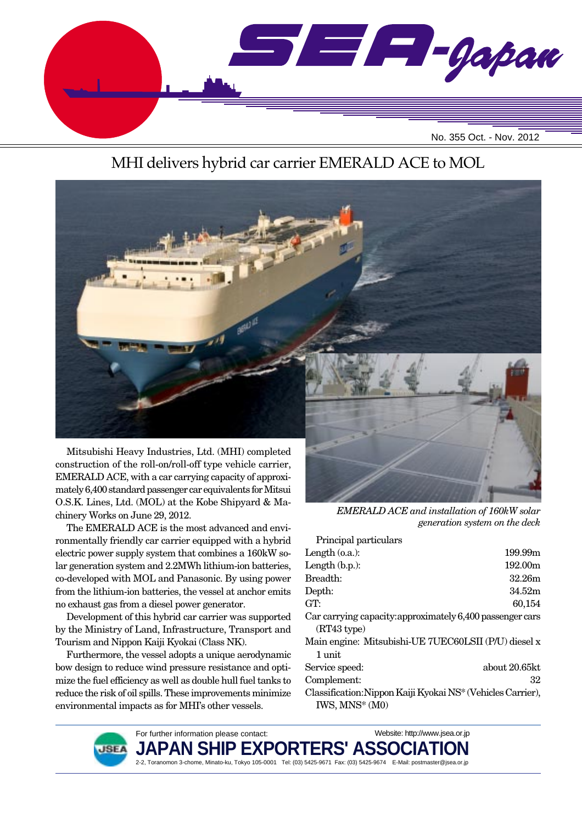

### MHI delivers hybrid car carrier EMERALD ACE to MOL



Mitsubishi Heavy Industries, Ltd. (MHI) completed construction of the roll-on/roll-off type vehicle carrier, EMERALD ACE, with a car carrying capacity of approximately 6,400 standard passenger car equivalents for Mitsui O.S.K. Lines, Ltd. (MOL) at the Kobe Shipyard & Machinery Works on June 29, 2012.

The EMERALD ACE is the most advanced and environmentally friendly car carrier equipped with a hybrid electric power supply system that combines a 160kW solar generation system and 2.2MWh lithium-ion batteries, co-developed with MOL and Panasonic. By using power from the lithium-ion batteries, the vessel at anchor emits no exhaust gas from a diesel power generator.

Development of this hybrid car carrier was supported by the Ministry of Land, Infrastructure, Transport and Tourism and Nippon Kaiji Kyokai (Class NK).

Furthermore, the vessel adopts a unique aerodynamic bow design to reduce wind pressure resistance and optimize the fuel efficiency as well as double hull fuel tanks to reduce the risk of oil spills. These improvements minimize environmental impacts as for MHI's other vessels.

For further information please contact:



*EMERALD ACE and installation of 160kW solar generation system on the deck*

| Principal particulars                                          |               |
|----------------------------------------------------------------|---------------|
| Length $(0.a.)$ :                                              | 199.99m       |
| Length $(b.p.):$                                               | 192.00m       |
| Breadth:                                                       | 32.26m        |
| Depth:                                                         | 34.52m        |
| GT:                                                            | 60,154        |
| Car carrying capacity: approximately 6,400 passenger cars      |               |
| (RT43 type)                                                    |               |
| Main engine: Mitsubishi-UE 7UEC60LSII (P/U) diesel x<br>1 unit |               |
| Service speed:                                                 | about 20.65kt |
| Complement:                                                    | 32            |
| Classification: Nippon Kaiji Kyokai NS* (Vehicles Carrier),    |               |
| IWS, MNS* (M0)                                                 |               |

Website: http://www.jsea.or.jp

**JSE/** 

JAPAN SHIP EXPORTERS' ASSO 2-2, Toranomon 3-chome, Minato-ku, Tokyo 105-0001 Tel: (03) 5425-9671 Fax: (03) 5425-9674 E-Mail: postmaster@jsea.or.jp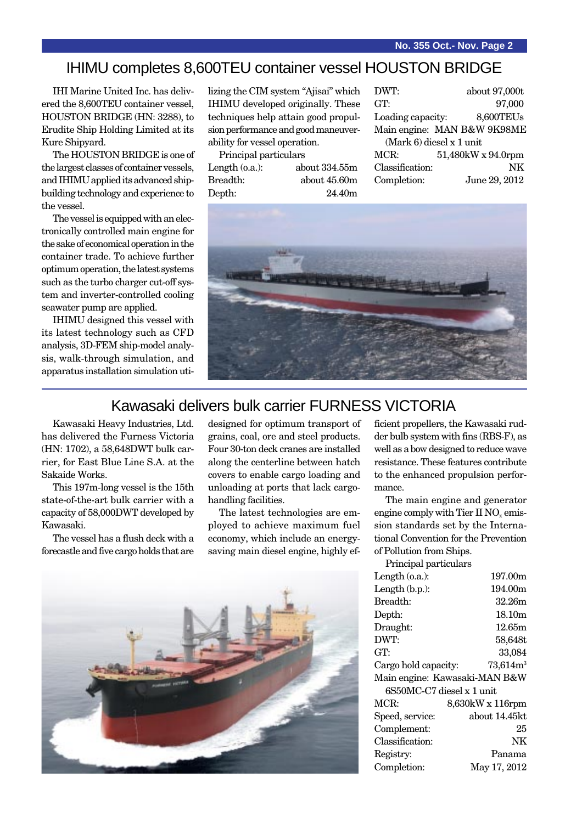#### IHIMU completes 8,600TEU container vessel HOUSTON BRIDGE

IHI Marine United Inc. has delivered the 8,600TEU container vessel, HOUSTON BRIDGE (HN: 3288), to Erudite Ship Holding Limited at its Kure Shipyard.

The HOUSTON BRIDGE is one of the largest classes of container vessels, and IHIMU applied its advanced shipbuilding technology and experience to the vessel.

The vessel is equipped with an electronically controlled main engine for the sake of economical operation in the container trade. To achieve further optimum operation, the latest systems such as the turbo charger cut-off system and inverter-controlled cooling seawater pump are applied.

IHIMU designed this vessel with its latest technology such as CFD analysis, 3D-FEM ship-model analysis, walk-through simulation, and apparatus installation simulation utilizing the CIM system "Ajisai" which IHIMU developed originally. These techniques help attain good propulsion performance and good maneuverability for vessel operation.

Principal particulars Length (o.a.): about 334.55m Breadth: about 45.60m Depth: 24.40m

| DWT:              | about 97,000t               |
|-------------------|-----------------------------|
| GT:               | 97,000                      |
| Loading capacity: | 8,600TEUs                   |
|                   | Main engine: MAN B&W 9K98ME |
|                   | $(Mark 6)$ diesel x 1 unit  |
| MCR:              | 51,480kW x 94.0rpm          |
| Classification:   | NK                          |
| Completion:       | June 29, 2012               |
|                   |                             |



### Kawasaki delivers bulk carrier FURNESS VICTORIA

Kawasaki Heavy Industries, Ltd. has delivered the Furness Victoria (HN: 1702), a 58,648DWT bulk carrier, for East Blue Line S.A. at the Sakaide Works.

This 197m-long vessel is the 15th state-of-the-art bulk carrier with a capacity of 58,000DWT developed by Kawasaki.

The vessel has a flush deck with a forecastle and five cargo holds that are designed for optimum transport of grains, coal, ore and steel products. Four 30-ton deck cranes are installed along the centerline between hatch covers to enable cargo loading and unloading at ports that lack cargohandling facilities.

The latest technologies are employed to achieve maximum fuel economy, which include an energysaving main diesel engine, highly ef-



ficient propellers, the Kawasaki rudder bulb system with fins (RBS-F), as well as a bow designed to reduce wave resistance. These features contribute to the enhanced propulsion performance.

The main engine and generator engine comply with Tier II  $NO<sub>x</sub>$  emission standards set by the International Convention for the Prevention of Pollution from Ships.

Principal particulars

| Length $(o.a.):$              | 197.00m               |
|-------------------------------|-----------------------|
| Length $(b.p.):$              | 194.00m               |
| Breadth:                      | 32.26m                |
| Depth:                        | 18.10m                |
| Draught:                      | 12.65m                |
| DWT:                          | 58,648t               |
| GT:                           | 33,084                |
| Cargo hold capacity:          | $73,614 \mathrm{m}^3$ |
| Main engine: Kawasaki-MAN B&W |                       |
| 6S50MC-C7 diesel x 1 unit     |                       |
| MCR:                          | $8,630$ kW x 116rpm   |
| Speed, service:               | about 14.45kt         |
| Complement:                   | 25                    |
| Classification:               | NΚ                    |
| Registry:                     | Panama                |
| Completion:                   | May 17, 2012          |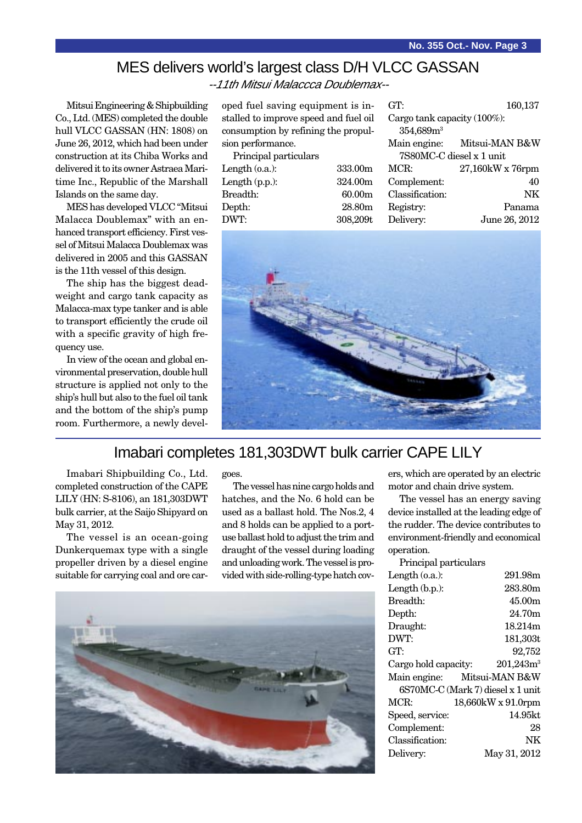# MES delivers world's largest class D/H VLCC GASSAN

--11th Mitsui Malaccca Doublemax--

Mitsui Engineering & Shipbuilding Co., Ltd. (MES) completed the double hull VLCC GASSAN (HN: 1808) on June 26, 2012, which had been under construction at its Chiba Works and delivered it to its owner Astraea Maritime Inc., Republic of the Marshall Islands on the same day.

MES has developed VLCC "Mitsui Malacca Doublemax" with an enhanced transport efficiency. First vessel of Mitsui Malacca Doublemax was delivered in 2005 and this GASSAN is the 11th vessel of this design.

The ship has the biggest deadweight and cargo tank capacity as Malacca-max type tanker and is able to transport efficiently the crude oil with a specific gravity of high frequency use.

In view of the ocean and global environmental preservation, double hull structure is applied not only to the ship's hull but also to the fuel oil tank and the bottom of the ship's pump room. Furthermore, a newly developed fuel saving equipment is installed to improve speed and fuel oil consumption by refining the propulsion performance.

| Principal particulars |                    |
|-----------------------|--------------------|
| Length $(0.a.)$ :     | 333.00m            |
| Length $(p.p.):$      | 324.00m            |
| Breadth:              | 60.00 <sub>m</sub> |
| Depth:                | 28.80m             |
| DWT:                  | 308,209t           |

| GT:                         | 160,137          |
|-----------------------------|------------------|
| Cargo tank capacity (100%): |                  |
| 354,689m <sup>3</sup>       |                  |
| Main engine:                | Mitsui-MAN B&W   |
| 7S80MC-C diesel x 1 unit    |                  |
| MCR:                        | 27,160kW x 76rpm |
| Complement:                 | 40               |
| Classification:             | NK               |
| Registry:                   | Panama           |
| Delivery:                   | June 26, 2012    |



### Imabari completes 181,303DWT bulk carrier CAPE LILY

Imabari Shipbuilding Co., Ltd. completed construction of the CAPE LILY (HN: S-8106), an 181,303DWT bulk carrier, at the Saijo Shipyard on May 31, 2012.

The vessel is an ocean-going Dunkerquemax type with a single propeller driven by a diesel engine suitable for carrying coal and ore cargoes.

The vessel has nine cargo holds and hatches, and the No. 6 hold can be used as a ballast hold. The Nos.2, 4 and 8 holds can be applied to a portuse ballast hold to adjust the trim and draught of the vessel during loading and unloading work. The vessel is provided with side-rolling-type hatch cov-



ers, which are operated by an electric motor and chain drive system.

The vessel has an energy saving device installed at the leading edge of the rudder. The device contributes to environment-friendly and economical operation.  $\mathbf{p}_{\text{min}}$  cine of

| Principal particulars |                                   |
|-----------------------|-----------------------------------|
| Length (o.a.):        | 291.98m                           |
| Length (b.p.):        | 283.80m                           |
| Breadth:              | 45.00m                            |
| Depth:                | 24.70m                            |
| Draught:              | 18.214m                           |
| DWT:                  | 181,303t                          |
| GT:                   | 92,752                            |
| Cargo hold capacity:  | $201,243m^3$                      |
|                       | Main engine: Mitsui-MAN B&W       |
|                       | 6S70MC-C (Mark 7) diesel x 1 unit |
| MCR:                  | 18,660kW x 91.0rpm                |
| Speed, service:       | 14.95kt                           |
| Complement:           | 28                                |
| Classification:       | NK                                |
| Delivery:             | May 31, 2012                      |
|                       |                                   |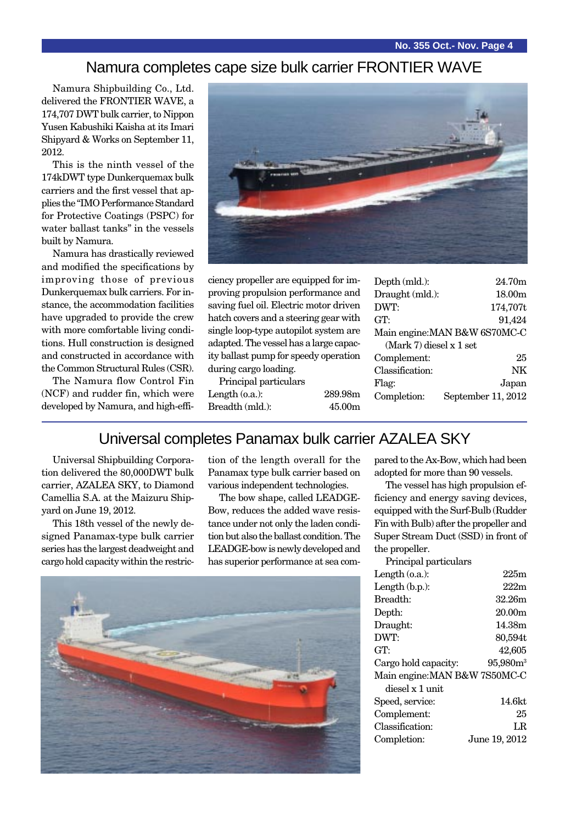#### Namura completes cape size bulk carrier FRONTIER WAVE

Namura Shipbuilding Co., Ltd. delivered the FRONTIER WAVE, a 174,707 DWT bulk carrier, to Nippon Yusen Kabushiki Kaisha at its Imari Shipyard & Works on September 11, 2012.

This is the ninth vessel of the 174kDWT type Dunkerquemax bulk carriers and the first vessel that applies the "IMO Performance Standard for Protective Coatings (PSPC) for water ballast tanks" in the vessels built by Namura.

Namura has drastically reviewed and modified the specifications by improving those of previous Dunkerquemax bulk carriers. For instance, the accommodation facilities have upgraded to provide the crew with more comfortable living conditions. Hull construction is designed and constructed in accordance with the Common Structural Rules (CSR).

The Namura flow Control Fin (NCF) and rudder fin, which were developed by Namura, and high-effi-



ciency propeller are equipped for improving propulsion performance and saving fuel oil. Electric motor driven hatch covers and a steering gear with single loop-type autopilot system are adapted. The vessel has a large capacity ballast pump for speedy operation during cargo loading.

Principal particulars

| Depth (mld.):             | 24.70m                        |
|---------------------------|-------------------------------|
| Draught (mld.):           | 18.00 <sub>m</sub>            |
| DWT:                      | 174,707t                      |
| GT:                       | 91,424                        |
|                           | Main engine: MAN B&W 6S70MC-C |
| $(Mark 7)$ diesel x 1 set |                               |
| Complement:               | 25                            |
| Classification:           | NK                            |
| Flag:                     | Japan                         |
| Completion:               | September 11, 2012            |
|                           |                               |

### Universal completes Panamax bulk carrier AZALEA SKY

Length (o.a.): 289.98m Breadth (mld.): 45.00m

Universal Shipbuilding Corporation delivered the 80,000DWT bulk carrier, AZALEA SKY, to Diamond Camellia S.A. at the Maizuru Shipyard on June 19, 2012.

This 18th vessel of the newly designed Panamax-type bulk carrier series has the largest deadweight and cargo hold capacity within the restriction of the length overall for the Panamax type bulk carrier based on various independent technologies.

The bow shape, called LEADGE-Bow, reduces the added wave resistance under not only the laden condition but also the ballast condition. The LEADGE-bow is newly developed and has superior performance at sea com-



pared to the Ax-Bow, which had been adopted for more than 90 vessels.

The vessel has high propulsion efficiency and energy saving devices, equipped with the Surf-Bulb (Rudder Fin with Bulb) after the propeller and Super Stream Duct (SSD) in front of the propeller.

| Principal particulars         |                      |
|-------------------------------|----------------------|
| Length $(0.a.)$ :             | 225m                 |
| Length $(b.p.):$              | 222m                 |
| Breadth:                      | 32.26m               |
| Depth:                        | 20.00 <sub>m</sub>   |
| Draught:                      | 14.38m               |
| DWT:                          | 80,594t              |
| GT:                           | 42.605               |
| Cargo hold capacity:          | 95,980m <sup>3</sup> |
| Main engine: MAN B&W 7S50MC-C |                      |
| diesel x 1 unit               |                      |
| Speed, service:               | 14.6kt               |
| Complement:                   | 25                   |
| Classification:               | LR.                  |
| Completion:                   | June 19, 2012        |
|                               |                      |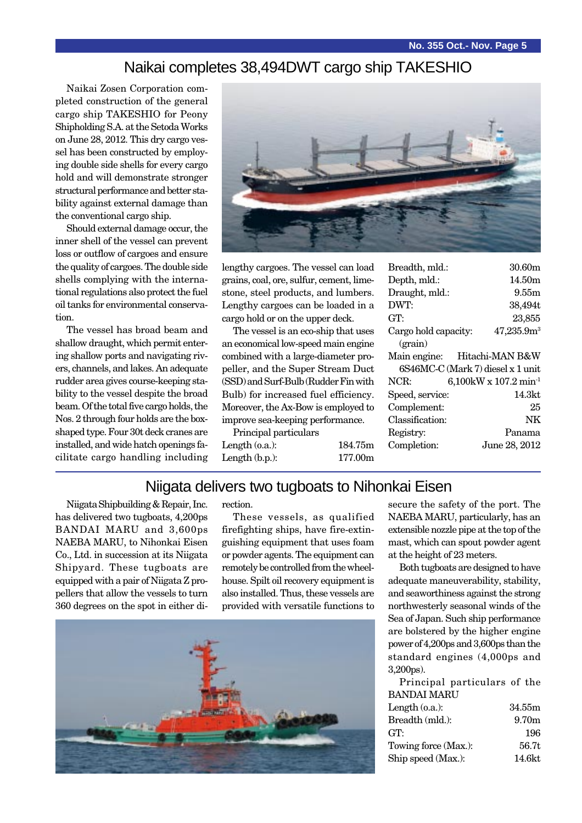#### Naikai completes 38,494DWT cargo ship TAKESHIO

Naikai Zosen Corporation completed construction of the general cargo ship TAKESHIO for Peony Shipholding S.A. at the Setoda Works on June 28, 2012. This dry cargo vessel has been constructed by employing double side shells for every cargo hold and will demonstrate stronger structural performance and better stability against external damage than the conventional cargo ship.

Should external damage occur, the inner shell of the vessel can prevent loss or outflow of cargoes and ensure the quality of cargoes. The double side shells complying with the international regulations also protect the fuel oil tanks for environmental conservation.

The vessel has broad beam and shallow draught, which permit entering shallow ports and navigating rivers, channels, and lakes. An adequate rudder area gives course-keeping stability to the vessel despite the broad beam. Of the total five cargo holds, the Nos. 2 through four holds are the boxshaped type. Four 30t deck cranes are installed, and wide hatch openings facilitate cargo handling including



lengthy cargoes. The vessel can load grains, coal, ore, sulfur, cement, limestone, steel products, and lumbers. Lengthy cargoes can be loaded in a cargo hold or on the upper deck.

The vessel is an eco-ship that uses an economical low-speed main engine combined with a large-diameter propeller, and the Super Stream Duct (SSD) and Surf-Bulb (Rudder Fin with Bulb) for increased fuel efficiency. Moreover, the Ax-Bow is employed to improve sea-keeping performance.

Principal particulars Length (o.a.): 184.75m Length (b.p.): 177.00m

| Breadth, mld.:       | 30.60m                                 |
|----------------------|----------------------------------------|
| Depth, mld.:         | 14.50m                                 |
| Draught, mld.:       | 9.55m                                  |
| DWT:                 | 38,494t                                |
| GT:                  | 23,855                                 |
| Cargo hold capacity: | 47,235.9m <sup>3</sup>                 |
| (grain)              |                                        |
| Main engine:         | Hitachi-MAN B&W                        |
|                      | 6S46MC-C (Mark 7) diesel x 1 unit      |
| NCR:                 | $6,100$ kW x $107.2$ min <sup>-1</sup> |
| Speed, service:      | 14.3kt                                 |
| Complement:          | 25                                     |
| Classification:      | NK                                     |
| Registry:            | Panama                                 |
| Completion:          | June 28, 2012                          |
|                      |                                        |

#### Niigata delivers two tugboats to Nihonkai Eisen

Niigata Shipbuilding & Repair, Inc. has delivered two tugboats, 4,200ps BANDAI MARU and 3,600ps NAEBA MARU, to Nihonkai Eisen Co., Ltd. in succession at its Niigata Shipyard. These tugboats are equipped with a pair of Niigata Z propellers that allow the vessels to turn 360 degrees on the spot in either direction.

These vessels, as qualified firefighting ships, have fire-extinguishing equipment that uses foam or powder agents. The equipment can remotely be controlled from the wheelhouse. Spilt oil recovery equipment is also installed. Thus, these vessels are provided with versatile functions to



secure the safety of the port. The NAEBA MARU, particularly, has an extensible nozzle pipe at the top of the mast, which can spout powder agent at the height of 23 meters.

Both tugboats are designed to have adequate maneuverability, stability, and seaworthiness against the strong northwesterly seasonal winds of the Sea of Japan. Such ship performance are bolstered by the higher engine power of 4,200ps and 3,600ps than the standard engines (4,000ps and 3,200ps).

Principal particulars of the BANDAI MARU

| Length $(o.a.)$ :    | 34.55m            |
|----------------------|-------------------|
| Breadth (mld.):      | 9.70 <sub>m</sub> |
| GT:                  | 196               |
| Towing force (Max.): | 56.7t             |
| Ship speed (Max.):   | 14.6kt            |